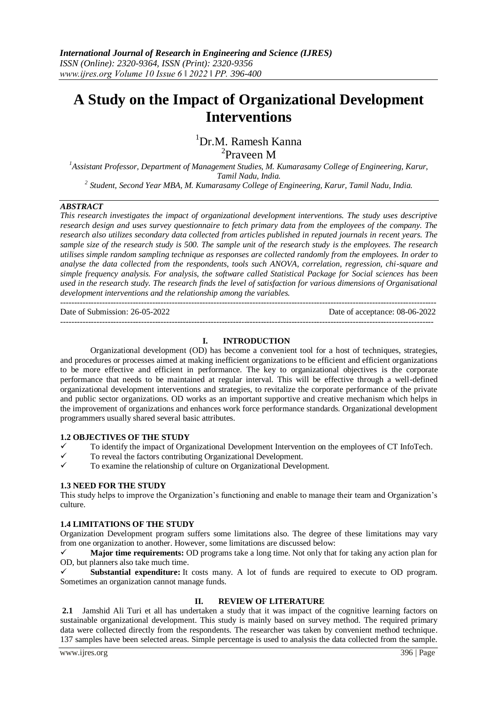# **A Study on the Impact of Organizational Development Interventions**

## <sup>1</sup>Dr.M. Ramesh Kanna 2 Praveen M

*<sup>1</sup>Assistant Professor, Department of Management Studies, M. Kumarasamy College of Engineering, Karur, Tamil Nadu, India. 2 Student, Second Year MBA, M. Kumarasamy College of Engineering, Karur, Tamil Nadu, India.*

## *ABSTRACT*

*This research investigates the impact of organizational development interventions. The study uses descriptive research design and uses survey questionnaire to fetch primary data from the employees of the company. The research also utilizes secondary data collected from articles published in reputed journals in recent years. The sample size of the research study is 500. The sample unit of the research study is the employees. The research utilises simple random sampling technique as responses are collected randomly from the employees. In order to analyse the data collected from the respondents, tools such ANOVA, correlation, regression, chi-square and simple frequency analysis. For analysis, the software called Statistical Package for Social sciences has been used in the research study. The research finds the level of satisfaction for various dimensions of Organisational development interventions and the relationship among the variables.*

--------------------------------------------------------------------------------------------------------------------------------------- Date of Submission: 26-05-2022 Date of acceptance: 08-06-2022

## **I. INTRODUCTION**

--------------------------------------------------------------------------------------------------------------------------------------

Organizational development (OD) has become a convenient tool for a host of techniques, strategies, and procedures or processes aimed at making inefficient organizations to be efficient and efficient organizations to be more effective and efficient in performance. The key to organizational objectives is the corporate performance that needs to be maintained at regular interval. This will be effective through a well-defined organizational development interventions and strategies, to revitalize the corporate performance of the private and public sector organizations. OD works as an important supportive and creative mechanism which helps in the improvement of organizations and enhances work force performance standards. Organizational development programmers usually shared several basic attributes.

## **1.2 OBJECTIVES OF THE STUDY**

- $\checkmark$  To identify the impact of Organizational Development Intervention on the employees of CT InfoTech.
- $\checkmark$  To reveal the factors contributing Organizational Development.
- To examine the relationship of culture on Organizational Development.

## **1.3 NEED FOR THE STUDY**

This study helps to improve the Organization's functioning and enable to manage their team and Organization's culture.

## **1.4 LIMITATIONS OF THE STUDY**

Organization Development program suffers some limitations also. The degree of these limitations may vary from one organization to another. However, some limitations are discussed below:

 **Major time requirements:** OD programs take a long time. Not only that for taking any action plan for OD, but planners also take much time.

 **Substantial expenditure:** It costs many. A lot of funds are required to execute to OD program. Sometimes an organization cannot manage funds.

## **II. REVIEW OF LITERATURE**

**2.1** Jamshid Ali Turi et all has undertaken a study that it was impact of the cognitive learning factors on sustainable organizational development. This study is mainly based on survey method. The required primary data were collected directly from the respondents. The researcher was taken by convenient method technique. 137 samples have been selected areas. Simple percentage is used to analysis the data collected from the sample.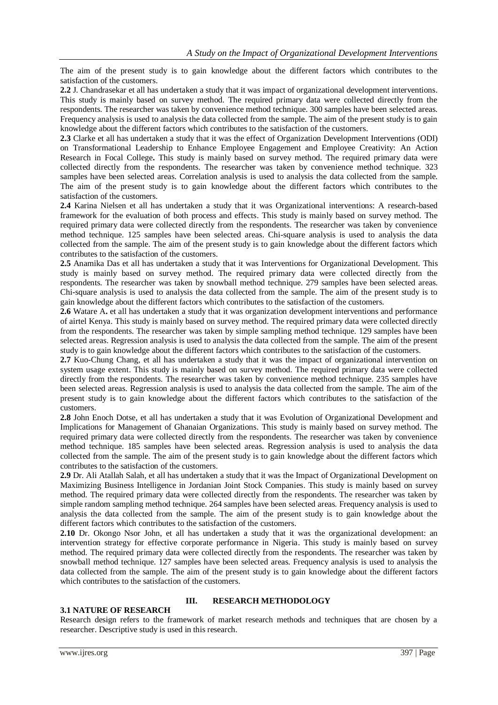The aim of the present study is to gain knowledge about the different factors which contributes to the satisfaction of the customers.

**2.2** J. Chandrasekar et all has undertaken a study that it was impact of organizational development interventions. This study is mainly based on survey method. The required primary data were collected directly from the respondents. The researcher was taken by convenience method technique. 300 samples have been selected areas. Frequency analysis is used to analysis the data collected from the sample. The aim of the present study is to gain knowledge about the different factors which contributes to the satisfaction of the customers.

**2.3** Clarke et all has undertaken a study that it was the effect of Organization Development Interventions (ODI) on Transformational Leadership to Enhance Employee Engagement and Employee Creativity: An Action Research in Focal College**.** This study is mainly based on survey method. The required primary data were collected directly from the respondents. The researcher was taken by convenience method technique. 323 samples have been selected areas. Correlation analysis is used to analysis the data collected from the sample. The aim of the present study is to gain knowledge about the different factors which contributes to the satisfaction of the customers.

**2.4** Karina Nielsen et all has undertaken a study that it was Organizational interventions: A research-based framework for the evaluation of both process and effects. This study is mainly based on survey method. The required primary data were collected directly from the respondents. The researcher was taken by convenience method technique. 125 samples have been selected areas. Chi-square analysis is used to analysis the data collected from the sample. The aim of the present study is to gain knowledge about the different factors which contributes to the satisfaction of the customers.

**2.5** Anamika Das et all has undertaken a study that it was Interventions for Organizational Development. This study is mainly based on survey method. The required primary data were collected directly from the respondents. The researcher was taken by snowball method technique. 279 samples have been selected areas. Chi-square analysis is used to analysis the data collected from the sample. The aim of the present study is to gain knowledge about the different factors which contributes to the satisfaction of the customers.

**2.6** Watare A**.** et all has undertaken a study that it was organization development interventions and performance of airtel Kenya. This study is mainly based on survey method. The required primary data were collected directly from the respondents. The researcher was taken by simple sampling method technique. 129 samples have been selected areas. Regression analysis is used to analysis the data collected from the sample. The aim of the present study is to gain knowledge about the different factors which contributes to the satisfaction of the customers.

**2.7** Kuo-Chung Chang, et all has undertaken a study that it was the impact of organizational intervention on system usage extent. This study is mainly based on survey method. The required primary data were collected directly from the respondents. The researcher was taken by convenience method technique. 235 samples have been selected areas. Regression analysis is used to analysis the data collected from the sample. The aim of the present study is to gain knowledge about the different factors which contributes to the satisfaction of the customers.

**2.8** John Enoch Dotse, et all has undertaken a study that it was Evolution of Organizational Development and Implications for Management of Ghanaian Organizations. This study is mainly based on survey method. The required primary data were collected directly from the respondents. The researcher was taken by convenience method technique. 185 samples have been selected areas. Regression analysis is used to analysis the data collected from the sample. The aim of the present study is to gain knowledge about the different factors which contributes to the satisfaction of the customers.

**2.9** Dr. Ali Atallah Salah, et all has undertaken a study that it was the Impact of Organizational Development on Maximizing Business Intelligence in Jordanian Joint Stock Companies. This study is mainly based on survey method. The required primary data were collected directly from the respondents. The researcher was taken by simple random sampling method technique. 264 samples have been selected areas. Frequency analysis is used to analysis the data collected from the sample. The aim of the present study is to gain knowledge about the different factors which contributes to the satisfaction of the customers.

**2.10** Dr. Okongo Nsor John, et all has undertaken a study that it was the organizational development: an intervention strategy for effective corporate performance in Nigeria. This study is mainly based on survey method. The required primary data were collected directly from the respondents. The researcher was taken by snowball method technique. 127 samples have been selected areas. Frequency analysis is used to analysis the data collected from the sample. The aim of the present study is to gain knowledge about the different factors which contributes to the satisfaction of the customers.

## **3.1 NATURE OF RESEARCH**

## **III. RESEARCH METHODOLOGY**

Research design refers to the framework of market research methods and techniques that are chosen by a researcher. Descriptive study is used in this research.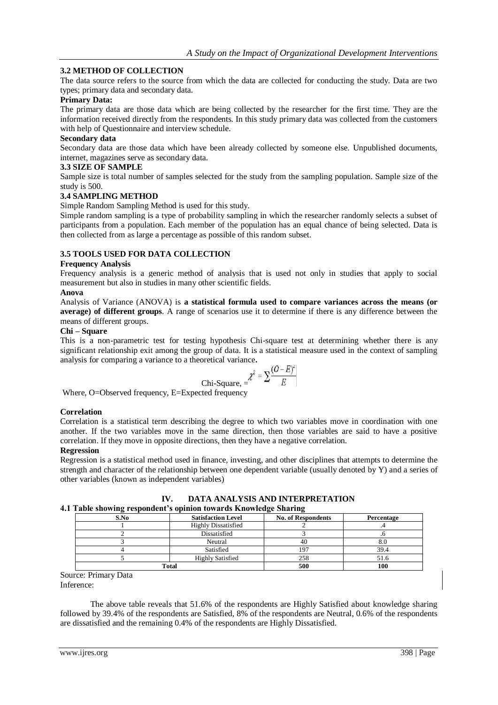## **3.2 METHOD OF COLLECTION**

The data source refers to the source from which the data are collected for conducting the study. Data are two types; primary data and secondary data.

## **Primary Data:**

The primary data are those data which are being collected by the researcher for the first time. They are the information received directly from the respondents. In this study primary data was collected from the customers with help of Questionnaire and interview schedule.

#### **Secondary data**

Secondary data are those data which have been already collected by someone else. Unpublished documents, internet, magazines serve as secondary data.

#### **3.3 SIZE OF SAMPLE**

Sample size is total number of samples selected for the study from the sampling population. Sample size of the study is 500.

## **3.4 SAMPLING METHOD**

Simple Random Sampling Method is used for this study.

Simple random sampling is a type of probability sampling in which the researcher randomly selects a subset of participants from a population. Each member of the population has an equal chance of being selected. Data is then collected from as large a percentage as possible of this random subset.

## **3.5 TOOLS USED FOR DATA COLLECTION**

## **Frequency Analysis**

Frequency analysis is a generic method of analysis that is used not only in studies that apply to social measurement but also in studies in many other scientific fields.

## **Anova**

Analysis of Variance (ANOVA) is **a statistical formula used to compare variances across the means (or average) of different groups**. A range of scenarios use it to determine if there is any difference between the means of different groups.

#### **Chi – Square**

This is a non-parametric test for testing hypothesis Chi-square test at determining whether there is any significant relationship exit among the group of data. It is a statistical measure used in the context of sampling analysis for comparing a variance to a theoretical variance**.**

Chi-Square, 
$$
= \frac{\chi^2}{\Sigma} = \frac{(O-E)^2}{E}
$$

Where, O=Observed frequency, E=Expected frequency

#### **Correlation**

Correlation is a statistical term describing the degree to which two variables move in coordination with one another. If the two variables move in the same direction, then those variables are said to have a positive correlation. If they move in opposite directions, then they have a negative correlation.

#### **Regression**

Regression is a statistical method used in finance, investing, and other disciplines that attempts to determine the strength and character of the relationship between one dependent variable (usually denoted by Y) and a series of other variables (known as independent variables)

| Table showing respondent's opinion towards Knowledge Sharing |                            |                           |            |  |  |  |
|--------------------------------------------------------------|----------------------------|---------------------------|------------|--|--|--|
| S.No                                                         | <b>Satisfaction Level</b>  | <b>No. of Respondents</b> | Percentage |  |  |  |
|                                                              | <b>Highly Dissatisfied</b> |                           |            |  |  |  |
|                                                              | Dissatisfied               |                           |            |  |  |  |
|                                                              | Neutral                    | 40                        | 8.0        |  |  |  |
|                                                              | Satisfied                  |                           | 39.4       |  |  |  |
|                                                              | <b>Highly Satisfied</b>    | 258                       | 51.6       |  |  |  |
|                                                              | Total                      | 500                       | 100        |  |  |  |

#### **IV. DATA ANALYSIS AND INTERPRETATION 4.1 Table showing respondent's opinion towards Knowledge Sharing**

Source: Primary Data Inference:

The above table reveals that 51.6% of the respondents are Highly Satisfied about knowledge sharing followed by 39.4% of the respondents are Satisfied, 8% of the respondents are Neutral, 0.6% of the respondents are dissatisfied and the remaining 0.4% of the respondents are Highly Dissatisfied.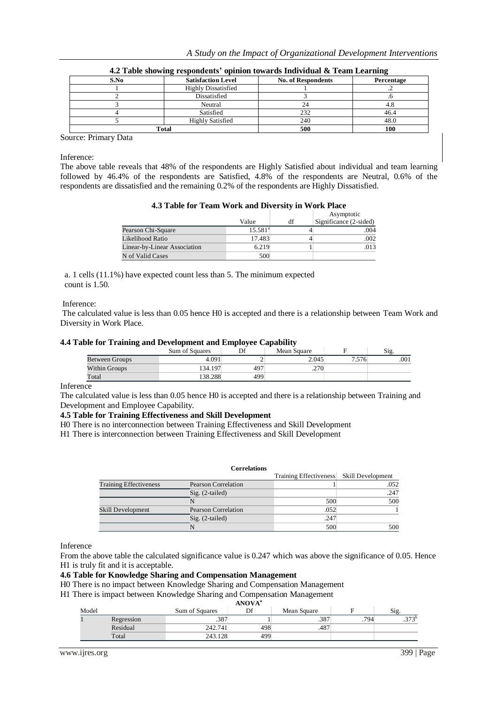|  | A Study on the Impact of Organizational Development Interventions |  |  |
|--|-------------------------------------------------------------------|--|--|
|  |                                                                   |  |  |

| 4.2 Table showing respondents' opinion towards Individual & Team Learning |                            |                           |            |  |  |
|---------------------------------------------------------------------------|----------------------------|---------------------------|------------|--|--|
| S.No                                                                      | <b>Satisfaction Level</b>  | <b>No. of Respondents</b> | Percentage |  |  |
|                                                                           | <b>Highly Dissatisfied</b> |                           |            |  |  |
|                                                                           | Dissatisfied               |                           |            |  |  |
|                                                                           | Neutral                    | 24                        |            |  |  |
|                                                                           | Satisfied                  | 232                       | 46.4       |  |  |
|                                                                           | <b>Highly Satisfied</b>    | 240                       | 48.0       |  |  |
|                                                                           | Total                      | 500                       |            |  |  |

Source: Primary Data

Inference:

The above table reveals that 48% of the respondents are Highly Satisfied about individual and team learning followed by 46.4% of the respondents are Satisfied, 4.8% of the respondents are Neutral, 0.6% of the respondents are dissatisfied and the remaining 0.2% of the respondents are Highly Dissatisfied.

|  |  |  |  |  |  | 4.3 Table for Team Work and Diversity in Work Place |
|--|--|--|--|--|--|-----------------------------------------------------|
|--|--|--|--|--|--|-----------------------------------------------------|

|                              | Value            | df | Asymptotic<br>Significance (2-sided) |
|------------------------------|------------------|----|--------------------------------------|
| Pearson Chi-Square           | $15.581^{\circ}$ |    | .004                                 |
| Likelihood Ratio             | 17.483           |    | .002                                 |
| Linear-by-Linear Association | 6.219            |    | .013                                 |
| N of Valid Cases             | 500              |    |                                      |

a. 1 cells (11.1%) have expected count less than 5. The minimum expected count is 1.50.

#### Inference:

The calculated value is less than 0.05 hence H0 is accepted and there is a relationship between Team Work and Diversity in Work Place.

#### **4.4 Table for Training and Development and Employee Capability**

|                | Sum of Squares | Df  | Mean Square |       | Sig. |
|----------------|----------------|-----|-------------|-------|------|
| Between Groups | 4.091          |     | 2.045       | 7.576 | .001 |
| Within Groups  | 134.197        | 497 | .270        |       |      |
| Total          | 138.288        | 499 |             |       |      |

## **Inference**

The calculated value is less than 0.05 hence H0 is accepted and there is a relationship between Training and Development and Employee Capability.

#### **4.5 Table for Training Effectiveness and Skill Development**

H0 There is no interconnection between Training Effectiveness and Skill Development

H1 There is interconnection between Training Effectiveness and Skill Development

|                               | <b>Correlations</b> |                                          |      |
|-------------------------------|---------------------|------------------------------------------|------|
|                               |                     | Training Effectiveness Skill Development |      |
| <b>Training Effectiveness</b> | Pearson Correlation |                                          | .052 |
|                               | $Sig. (2-tailed)$   |                                          | .247 |
|                               |                     | 500                                      | 500  |
| Skill Development             | Pearson Correlation | .052                                     |      |
|                               | $Sig. (2-tailed)$   | .247                                     |      |
|                               |                     | 500                                      | 500  |

Inference

From the above table the calculated significance value is 0.247 which was above the significance of 0.05. Hence H1 is truly fit and it is acceptable.

#### **4.6 Table for Knowledge Sharing and Compensation Management**

H0 There is no impact between Knowledge Sharing and Compensation Management

H1 There is impact between Knowledge Sharing and Compensation Management

|       | <b>ANOVA</b> <sup>a</sup> |                |     |             |      |                |  |  |  |
|-------|---------------------------|----------------|-----|-------------|------|----------------|--|--|--|
| Model |                           | Sum of Squares | Df  | Mean Square |      | Sig.           |  |  |  |
|       | Regression                | .387           |     | .387        | .794 | つつつり<br>ر ، ر. |  |  |  |
|       | Residual                  | 242.741        | 498 | .487        |      |                |  |  |  |
|       | Total                     | 243.128        | 499 |             |      |                |  |  |  |